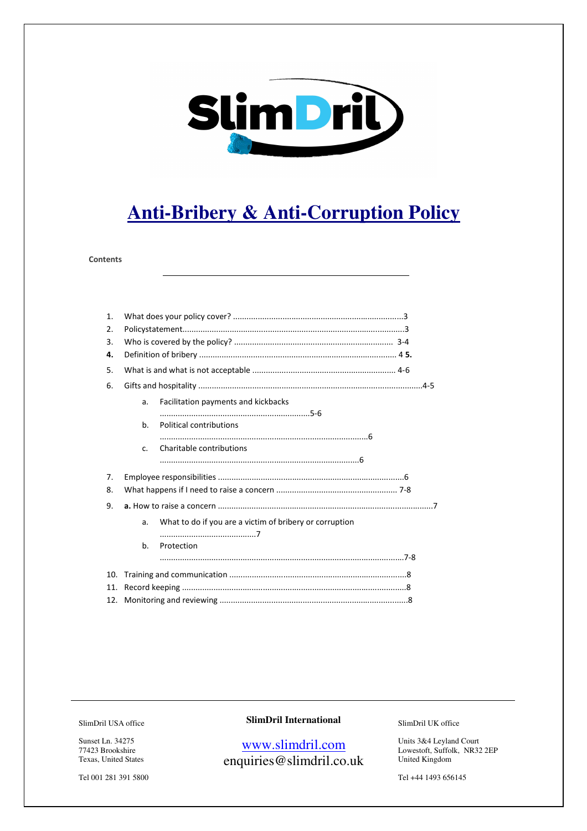

# **Anti-Bribery & Anti-Corruption Policy**

#### **Contents**

| $\mathbf{1}$ . |    |                                                         |  |
|----------------|----|---------------------------------------------------------|--|
| 2.             |    |                                                         |  |
| 3.             |    |                                                         |  |
| 4.             |    |                                                         |  |
| 5.             |    |                                                         |  |
| 6.             |    |                                                         |  |
|                | a. | Facilitation payments and kickbacks                     |  |
|                |    |                                                         |  |
|                | b. | Political contributions                                 |  |
|                |    |                                                         |  |
|                | C. | Charitable contributions                                |  |
|                |    |                                                         |  |
| 7.             |    |                                                         |  |
| 8.             |    |                                                         |  |
| 9.             |    |                                                         |  |
|                | a. | What to do if you are a victim of bribery or corruption |  |
|                |    |                                                         |  |
|                | b. | Protection                                              |  |
|                |    |                                                         |  |
| 10.            |    |                                                         |  |
| 11.            |    |                                                         |  |
| 12.            |    |                                                         |  |

SlimDril USA office

Sunset Ln. 34275 77423 Brookshire Texas, United States

Tel 001 281 391 5800

#### **SlimDril International**

## www.slimdril.com enquiries@slimdril.co.uk

SlimDril UK office

Units 3&4 Leyland Court Lowestoft, Suffolk, NR32 2EP United Kingdom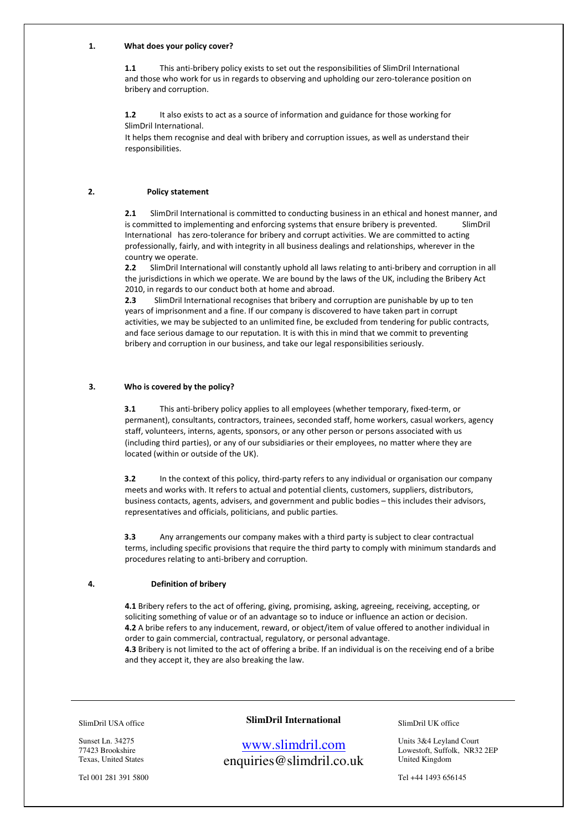#### 1. What does your policy cover?

1.1 This anti-bribery policy exists to set out the responsibilities of SlimDril International and those who work for us in regards to observing and upholding our zero-tolerance position on bribery and corruption.

1.2 It also exists to act as a source of information and guidance for those working for SlimDril International.

It helps them recognise and deal with bribery and corruption issues, as well as understand their responsibilities.

#### 2. Policy statement

2.1 SlimDril International is committed to conducting business in an ethical and honest manner, and is committed to implementing and enforcing systems that ensure bribery is prevented. [Com SlimDril] International has zero-tolerance for bribery and corrupt activities. We are committed to acting professionally, fairly, and with integrity in all business dealings and relationships, wherever in the country we operate.

2.2 SlimDril International will constantly uphold all laws relating to anti-bribery and corruption in all the jurisdictions in which we operate. We are bound by the laws of the UK, including the Bribery Act 2010, in regards to our conduct both at home and abroad.

2.3 SlimDril International recognises that bribery and corruption are punishable by up to ten years of imprisonment and a fine. If our company is discovered to have taken part in corrupt activities, we may be subjected to an unlimited fine, be excluded from tendering for public contracts, and face serious damage to our reputation. It is with this in mind that we commit to preventing bribery and corruption in our business, and take our legal responsibilities seriously.

#### 3. Who is covered by the policy?

3.1 This anti-bribery policy applies to all employees (whether temporary, fixed-term, or permanent), consultants, contractors, trainees, seconded staff, home workers, casual workers, agency staff, volunteers, interns, agents, sponsors, or any other person or persons associated with us (including third parties), or any of our subsidiaries or their employees, no matter where they are located (within or outside of the UK).

3.2 In the context of this policy, third-party refers to any individual or organisation our company meets and works with. It refers to actual and potential clients, customers, suppliers, distributors, business contacts, agents, advisers, and government and public bodies – this includes their advisors, representatives and officials, politicians, and public parties.

3.3 Any arrangements our company makes with a third party is subject to clear contractual terms, including specific provisions that require the third party to comply with minimum standards and procedures relating to anti-bribery and corruption.

#### 4. Definition of bribery

4.1 Bribery refers to the act of offering, giving, promising, asking, agreeing, receiving, accepting, or soliciting something of value or of an advantage so to induce or influence an action or decision. 4.2 A bribe refers to any inducement, reward, or object/item of value offered to another individual in order to gain commercial, contractual, regulatory, or personal advantage. 4.3 Bribery is not limited to the act of offering a bribe. If an individual is on the receiving end of a bribe

and they accept it, they are also breaking the law.

SlimDril USA office

Sunset Ln. 34275 77423 Brookshire Texas, United States

Tel 001 281 391 5800

#### **SlimDril International**

www.slimdril.com enquiries@slimdril.co.uk SlimDril UK office

Units 3&4 Leyland Court Lowestoft, Suffolk, NR32 2EP United Kingdom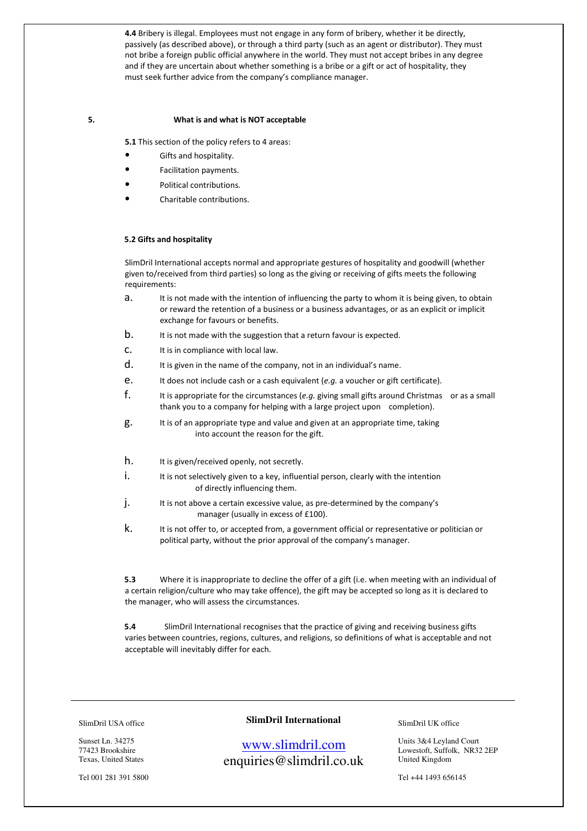4.4 Bribery is illegal. Employees must not engage in any form of bribery, whether it be directly, passively (as described above), or through a third party (such as an agent or distributor). They must not bribe a foreign public official anywhere in the world. They must not accept bribes in any degree and if they are uncertain about whether something is a bribe or a gift or act of hospitality, they must seek further advice from the company's compliance manager.

#### 5. What is and what is NOT acceptable

5.1 This section of the policy refers to 4 areas:

- Gifts and hospitality.
- Facilitation payments.
- Political contributions.
- Charitable contributions.

#### 5.2 Gifts and hospitality

SlimDril International accepts normal and appropriate gestures of hospitality and goodwill (whether given to/received from third parties) so long as the giving or receiving of gifts meets the following requirements:

- a. It is not made with the intention of influencing the party to whom it is being given, to obtain or reward the retention of a business or a business advantages, or as an explicit or implicit exchange for favours or benefits.
- b. It is not made with the suggestion that a return favour is expected.
- c. It is in compliance with local law.
- d. It is given in the name of the company, not in an individual's name.
- e. It does not include cash or a cash equivalent (e.g. a voucher or gift certificate).
- f. It is appropriate for the circumstances (e.g. giving small gifts around Christmas or as a small thank you to a company for helping with a large project upon completion).
- g. It is of an appropriate type and value and given at an appropriate time, taking into account the reason for the gift.
- h. It is given/received openly, not secretly.
- i. It is not selectively given to a key, influential person, clearly with the intention of directly influencing them.
- j. It is not above a certain excessive value, as pre-determined by the company's manager (usually in excess of £100).
- k. It is not offer to, or accepted from, a government official or representative or politician or political party, without the prior approval of the company's manager.

5.3 Where it is inappropriate to decline the offer of a gift (i.e. when meeting with an individual of a certain religion/culture who may take offence), the gift may be accepted so long as it is declared to the manager, who will assess the circumstances.

5.4 SlimDril International recognises that the practice of giving and receiving business gifts varies between countries, regions, cultures, and religions, so definitions of what is acceptable and not acceptable will inevitably differ for each.

SlimDril USA office

Sunset Ln. 34275 77423 Brookshire Texas, United States

Tel 001 281 391 5800

#### **SlimDril International**

www.slimdril.com enquiries@slimdril.co.uk SlimDril UK office

Units 3&4 Leyland Court Lowestoft, Suffolk, NR32 2EP United Kingdom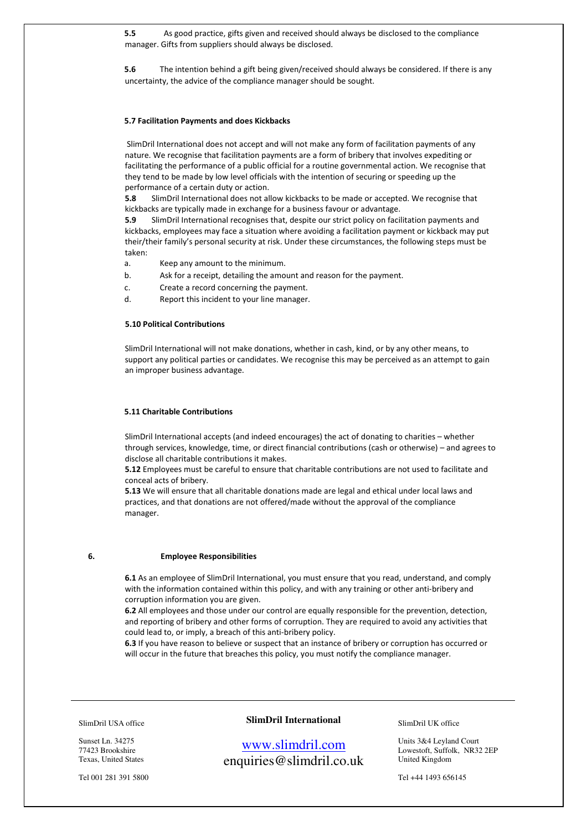5.5 As good practice, gifts given and received should always be disclosed to the compliance manager. Gifts from suppliers should always be disclosed.

5.6 The intention behind a gift being given/received should always be considered. If there is any uncertainty, the advice of the compliance manager should be sought.

#### 5.7 Facilitation Payments and does Kickbacks

 SlimDril International does not accept and will not make any form of facilitation payments of any nature. We recognise that facilitation payments are a form of bribery that involves expediting or facilitating the performance of a public official for a routine governmental action. We recognise that they tend to be made by low level officials with the intention of securing or speeding up the performance of a certain duty or action.

5.8 SlimDril International does not allow kickbacks to be made or accepted. We recognise that kickbacks are typically made in exchange for a business favour or advantage.

5.9 SlimDril International recognises that, despite our strict policy on facilitation payments and kickbacks, employees may face a situation where avoiding a facilitation payment or kickback may put their/their family's personal security at risk. Under these circumstances, the following steps must be taken:

a. Keep any amount to the minimum.

- b. Ask for a receipt, detailing the amount and reason for the payment.
- c. Create a record concerning the payment.
- d. Report this incident to your line manager.

#### 5.10 Political Contributions

SlimDril International will not make donations, whether in cash, kind, or by any other means, to support any political parties or candidates. We recognise this may be perceived as an attempt to gain an improper business advantage.

#### 5.11 Charitable Contributions

SlimDril International accepts (and indeed encourages) the act of donating to charities – whether through services, knowledge, time, or direct financial contributions (cash or otherwise) – and agrees to disclose all charitable contributions it makes.

5.12 Employees must be careful to ensure that charitable contributions are not used to facilitate and conceal acts of bribery.

5.13 We will ensure that all charitable donations made are legal and ethical under local laws and practices, and that donations are not offered/made without the approval of the compliance manager.

#### 6. Employee Responsibilities

6.1 As an employee of SlimDril International, you must ensure that you read, understand, and comply with the information contained within this policy, and with any training or other anti-bribery and corruption information you are given.

6.2 All employees and those under our control are equally responsible for the prevention, detection, and reporting of bribery and other forms of corruption. They are required to avoid any activities that could lead to, or imply, a breach of this anti-bribery policy.

6.3 If you have reason to believe or suspect that an instance of bribery or corruption has occurred or will occur in the future that breaches this policy, you must notify the compliance manager.

SlimDril USA office

Sunset Ln. 34275 77423 Brookshire Texas, United States

Tel 001 281 391 5800

#### **SlimDril International**

www.slimdril.com enquiries@slimdril.co.uk SlimDril UK office

Units 3&4 Leyland Court Lowestoft, Suffolk, NR32 2EP United Kingdom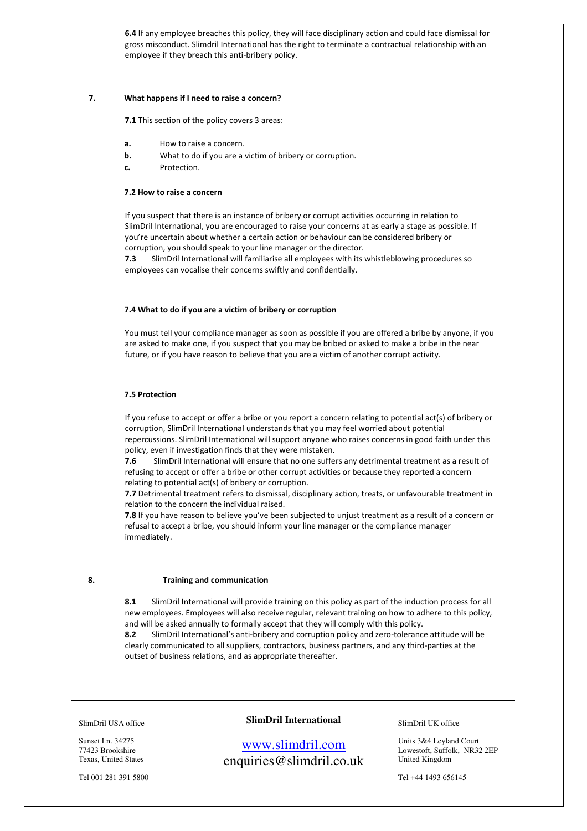6.4 If any employee breaches this policy, they will face disciplinary action and could face dismissal for gross misconduct. Slimdril International has the right to terminate a contractual relationship with an employee if they breach this anti-bribery policy.

#### 7. What happens if I need to raise a concern?

7.1 This section of the policy covers 3 areas:

- a. How to raise a concern.
- **b.** What to do if you are a victim of bribery or corruption.
- c. Protection.

#### 7.2 How to raise a concern

If you suspect that there is an instance of bribery or corrupt activities occurring in relation to SlimDril International, you are encouraged to raise your concerns at as early a stage as possible. If you're uncertain about whether a certain action or behaviour can be considered bribery or corruption, you should speak to your line manager or the director.

7.3 SlimDril International will familiarise all employees with its whistleblowing procedures so employees can vocalise their concerns swiftly and confidentially.

#### 7.4 What to do if you are a victim of bribery or corruption

You must tell your compliance manager as soon as possible if you are offered a bribe by anyone, if you are asked to make one, if you suspect that you may be bribed or asked to make a bribe in the near future, or if you have reason to believe that you are a victim of another corrupt activity.

#### 7.5 Protection

If you refuse to accept or offer a bribe or you report a concern relating to potential act(s) of bribery or corruption, SlimDril International understands that you may feel worried about potential repercussions. SlimDril International will support anyone who raises concerns in good faith under this policy, even if investigation finds that they were mistaken.

7.6 SlimDril International will ensure that no one suffers any detrimental treatment as a result of refusing to accept or offer a bribe or other corrupt activities or because they reported a concern relating to potential act(s) of bribery or corruption.

7.7 Detrimental treatment refers to dismissal, disciplinary action, treats, or unfavourable treatment in relation to the concern the individual raised.

7.8 If you have reason to believe you've been subjected to unjust treatment as a result of a concern or refusal to accept a bribe, you should inform your line manager or the compliance manager immediately.

#### 8. Training and communication

8.1 SlimDril International will provide training on this policy as part of the induction process for all new employees. Employees will also receive regular, relevant training on how to adhere to this policy, and will be asked annually to formally accept that they will comply with this policy.

8.2 SlimDril International's anti-bribery and corruption policy and zero-tolerance attitude will be clearly communicated to all suppliers, contractors, business partners, and any third-parties at the outset of business relations, and as appropriate thereafter.

SlimDril USA office

Sunset Ln. 34275 77423 Brookshire Texas, United States

Tel 001 281 391 5800

#### **SlimDril International**

### www.slimdril.com enquiries@slimdril.co.uk

SlimDril UK office

Units 3&4 Leyland Court Lowestoft, Suffolk, NR32 2EP United Kingdom